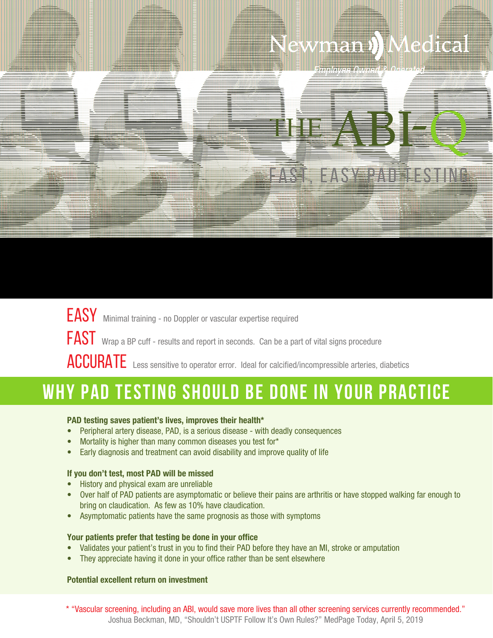## Newman ) Medical

**Employee Owned & Operated** 

# THE ABI-Q FAST, EASY PAD TESTING

EASY Minimal training - no Doppler or vascular expertise required FAST Wrap a BP cuff - results and report in seconds. Can be a part of vital signs procedure ACCURATE Less sensitive to operator error. Ideal for calcified/incompressible arteries, diabetics

## **WHY PAD TESTING SHOULD BE DONE IN YOUR PRACTICE**

#### **PAD testing saves patient's lives, improves their health\***

- Peripheral artery disease, PAD, is a serious disease with deadly consequences
- Mortality is higher than many common diseases you test for\*
- Early diagnosis and treatment can avoid disability and improve quality of life

#### **If you don't test, most PAD will be missed**

- History and physical exam are unreliable
- Over half of PAD patients are asymptomatic or believe their pains are arthritis or have stopped walking far enough to bring on claudication. As few as 10% have claudication.
- Asymptomatic patients have the same prognosis as those with symptoms

#### **Your patients prefer that testing be done in your office**

- Validates your patient's trust in you to find their PAD before they have an MI, stroke or amputation
- They appreciate having it done in your office rather than be sent elsewhere

#### **Potential excellent return on investment**

\* "Vascular screening, including an ABI, would save more lives than all other screening services currently recommended." Joshua Beckman, MD, "Shouldn't USPTF Follow It's Own Rules?" MedPage Today, April 5, 2019